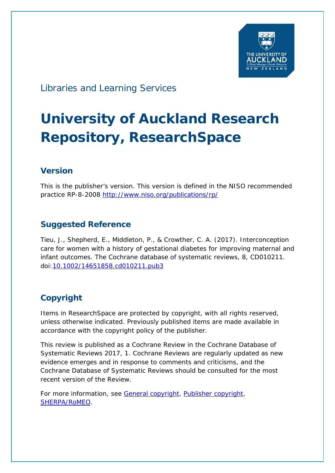

# Libraries and Learning Services

# **University of Auckland Research Repository, ResearchSpace**

# **Version**

This is the publisher's version. This version is defined in the NISO recommended practice RP-8-2008<http://www.niso.org/publications/rp/>

# **Suggested Reference**

Tieu, J., Shepherd, E., Middleton, P., & Crowther, C. A. (2017). Interconception care for women with a history of gestational diabetes for improving maternal and infant outcomes. *The Cochrane database of systematic reviews*, 8, CD010211. doi[:10.1002/14651858.cd010211.pub3](http://dx.doi.org/10.1002/14651858.cd010211.pub3)

# **Copyright**

Items in ResearchSpace are protected by copyright, with all rights reserved, unless otherwise indicated. Previously published items are made available in accordance with the copyright policy of the publisher.

This review is published as a Cochrane Review in the *Cochrane Database of Systematic Reviews* 2017, 1. Cochrane Reviews are regularly updated as new evidence emerges and in response to comments and criticisms, and the Cochrane Database of Systematic Reviews should be consulted for the most recent version of the Review.

For more information, see [General copyright,](http://www.library.auckland.ac.nz/services/research-support/depositing-theses/copyright) [Publisher copyright,](https://www.cochranelibrary.com/about/open-access) [SHERPA/RoMEO.](http://www.sherpa.ac.uk/romeo/issn/1469-493X/)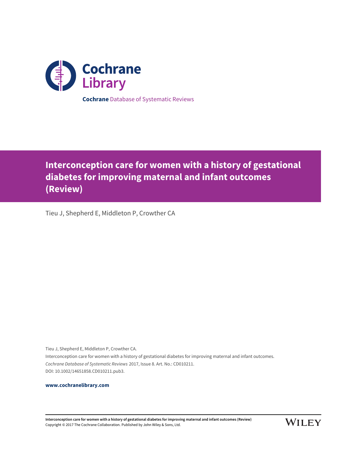

**Interconception care for women with a history of gestational diabetes for improving maternal and infant outcomes (Review)**

Tieu J, Shepherd E, Middleton P, Crowther CA

Tieu J, Shepherd E, Middleton P, Crowther CA. Interconception care for women with a history of gestational diabetes for improving maternal and infant outcomes. Cochrane Database of Systematic Reviews 2017, Issue 8. Art. No.: CD010211. DOI: 10.1002/14651858.CD010211.pub3.

**[www.cochranelibrary.com](def http://www.cochranelibrary.com)**

**Interconception care for women with a history of gestational diabetes for improving maternal and infant outcomes (Review)** Copyright © 2017 The Cochrane Collaboration. Published by John Wiley & Sons, Ltd.

**WILEY**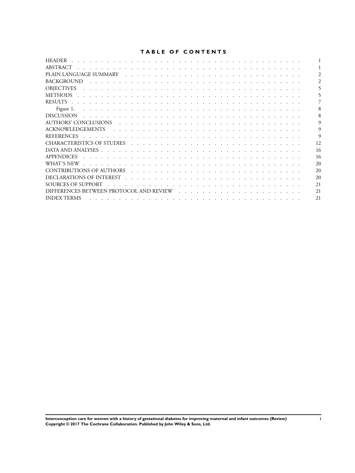# **TABLE OF CONTENTS**

| <b>HEADER</b>                                                                                                                                                                                                                                                   |
|-----------------------------------------------------------------------------------------------------------------------------------------------------------------------------------------------------------------------------------------------------------------|
| ABSTRACT<br>the contract of the contract of the contract of the contract of the contract of the contract of the contract of                                                                                                                                     |
| PLAIN LANGUAGE SUMMARY                                                                                                                                                                                                                                          |
| <b>BACKGROUND</b>                                                                                                                                                                                                                                               |
| <b>OBIECTIVES</b>                                                                                                                                                                                                                                               |
| <b>METHODS</b>                                                                                                                                                                                                                                                  |
| <b>RESULTS</b>                                                                                                                                                                                                                                                  |
| Figure 1.                                                                                                                                                                                                                                                       |
| <b>DISCUSSION</b><br>the contract of the contract of the contract of the contract of the contract of the contract of the contract of                                                                                                                            |
| AUTHORS' CONCLUSIONS<br>Q                                                                                                                                                                                                                                       |
| <b>ACKNOWLEDGEMENTS</b><br>$\Omega$                                                                                                                                                                                                                             |
| <b>REFERENCES</b><br><u>. In the second contract of the second contract of the second contract of the second contract of the second contract of the second contract of the second contract of the second contract of the second contract of the secon</u>       |
| 12                                                                                                                                                                                                                                                              |
| 16                                                                                                                                                                                                                                                              |
| <b>APPENDICES</b><br>16<br>the contract of the contract of the contract of the contract of the contract of the contract of the contract of                                                                                                                      |
| 20<br>WHAT'S NEW                                                                                                                                                                                                                                                |
| CONTRIBUTIONS OF AUTHORS<br>20                                                                                                                                                                                                                                  |
| DECLARATIONS OF INTEREST<br>20<br>a construction of the construction of the construction of the construction of the construction of the construction of the construction of the construction of the construction of the construction of the construction of the |
| SOURCES OF SUPPORT<br>2.1<br>and a construction of the construction of the construction of the construction of the construction of the construction of the construction of the construction of the construction of the construction of the construction of      |
| 21                                                                                                                                                                                                                                                              |
| <b>INDEX TERMS</b><br>21<br>a constitution de la constitution de la constitution de la constitution de la constitution de la constitution                                                                                                                       |

**Interconception care for women with a history of gestational diabetes for improving maternal and infant outcomes (Review) i Copyright © 2017 The Cochrane Collaboration. Published by John Wiley & Sons, Ltd.**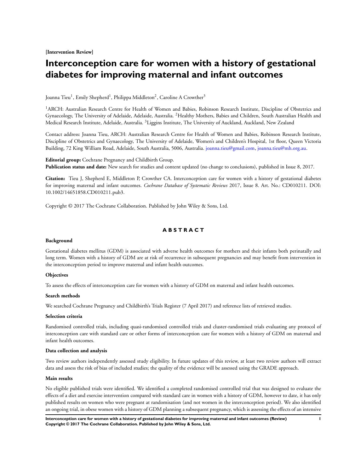**[Intervention Review]**

# **Interconception care for women with a history of gestational diabetes for improving maternal and infant outcomes**

Joanna Tieu<sup>1</sup>, Emily Shepherd<sup>1</sup>, Philippa Middleton<sup>2</sup>, Caroline A Crowther<sup>3</sup>

<sup>1</sup> ARCH: Australian Research Centre for Health of Women and Babies, Robinson Research Institute, Discipline of Obstetrics and Gynaecology, The University of Adelaide, Adelaide, Australia. <sup>2</sup>Healthy Mothers, Babies and Children, South Australian Health and Medical Research Institute, Adelaide, Australia. <sup>3</sup>Liggins Institute, The University of Auckland, Auckland, New Zealand

Contact address: Joanna Tieu, ARCH: Australian Research Centre for Health of Women and Babies, Robinson Research Institute, Discipline of Obstetrics and Gynaecology, The University of Adelaide, Women's and Children's Hospital, 1st floor, Queen Victoria Building, 72 King William Road, Adelaide, South Australia, 5006, Australia. [joanna.tieu@gmail.com](mailto:joanna.tieu@gmail.com), [joanna.tieu@mh.org.au](mailto:joanna.tieu@mh.org.au).

**Editorial group:** Cochrane Pregnancy and Childbirth Group. **Publication status and date:** New search for studies and content updated (no change to conclusions), published in Issue 8, 2017.

**Citation:** Tieu J, Shepherd E, Middleton P, Crowther CA. Interconception care for women with a history of gestational diabetes for improving maternal and infant outcomes. *Cochrane Database of Systematic Reviews* 2017, Issue 8. Art. No.: CD010211. DOI: 10.1002/14651858.CD010211.pub3.

Copyright © 2017 The Cochrane Collaboration. Published by John Wiley & Sons, Ltd.

### **A B S T R A C T**

#### **Background**

Gestational diabetes mellitus (GDM) is associated with adverse health outcomes for mothers and their infants both perinatally and long term. Women with a history of GDM are at risk of recurrence in subsequent pregnancies and may benefit from intervention in the interconception period to improve maternal and infant health outcomes.

#### **Objectives**

To assess the effects of interconception care for women with a history of GDM on maternal and infant health outcomes.

#### **Search methods**

We searched Cochrane Pregnancy and Childbirth's Trials Register (7 April 2017) and reference lists of retrieved studies.

#### **Selection criteria**

Randomised controlled trials, including quasi-randomised controlled trials and cluster-randomised trials evaluating any protocol of interconception care with standard care or other forms of interconception care for women with a history of GDM on maternal and infant health outcomes.

#### **Data collection and analysis**

Two review authors independently assessed study eligibility. In future updates of this review, at least two review authors will extract data and assess the risk of bias of included studies; the quality of the evidence will be assessed using the GRADE approach.

#### **Main results**

No eligible published trials were identified. We identified a completed randomised controlled trial that was designed to evaluate the effects of a diet and exercise intervention compared with standard care in women with a history of GDM, however to date, it has only published results on women who were pregnant at randomisation (and not women in the interconception period). We also identified an ongoing trial, in obese women with a history of GDM planning a subsequent pregnancy, which is assessing the effects of an intensive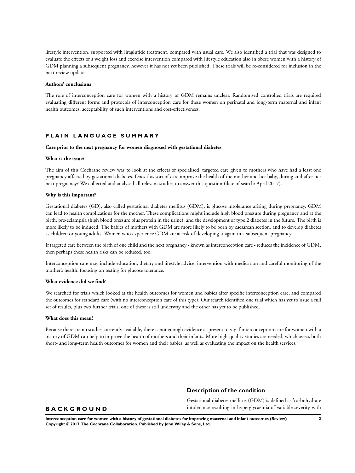lifestyle intervention, supported with liraglutide treatment, compared with usual care. We also identified a trial that was designed to evaluate the effects of a weight loss and exercise intervention compared with lifestyle education also in obese women with a history of GDM planning a subsequent pregnancy, however it has not yet been published. These trials will be re-considered for inclusion in the next review update.

#### **Authors' conclusions**

The role of interconception care for women with a history of GDM remains unclear. Randomised controlled trials are required evaluating different forms and protocols of interconception care for these women on perinatal and long-term maternal and infant health outcomes, acceptability of such interventions and cost-effectiveness.

#### **P L A I N L A N G U A G E S U M M A R Y**

#### **Care prior to the next pregnancy for women diagnosed with gestational diabetes**

#### **What is the issue?**

The aim of this Cochrane review was to look at the effects of specialised, targeted care given to mothers who have had a least one pregnancy affected by gestational diabetes. Does this sort of care improve the health of the mother and her baby, during and after her next pregnancy? We collected and analysed all relevant studies to answer this question (date of search: April 2017).

#### **Why is this important?**

Gestational diabetes (GD), also called gestational diabetes mellitus (GDM), is glucose intolerance arising during pregnancy. GDM can lead to health complications for the mother. These complications might include high blood pressure during pregnancy and at the birth, pre-eclampsia (high blood pressure plus protein in the urine), and the development of type 2 diabetes in the future. The birth is more likely to be induced. The babies of mothers with GDM are more likely to be born by caesarean section, and to develop diabetes as children or young adults. Women who experience GDM are at risk of developing it again in a subsequent pregnancy.

If targeted care between the birth of one child and the next pregnancy - known as interconception care - reduces the incidence of GDM, then perhaps these health risks can be reduced, too.

Interconception care may include education, dietary and lifestyle advice, intervention with medication and careful monitoring of the mother's health, focusing on testing for glucose tolerance.

#### **What evidence did we find?**

We searched for trials which looked at the health outcomes for women and babies after specific interconception care, and compared the outcomes for standard care (with no interconception care of this type). Our search identified one trial which has yet to issue a full set of results, plus two further trials; one of these is still underway and the other has yet to be published.

#### **What does this mean?**

Because there are no studies currently available, there is not enough evidence at present to say if interconception care for women with a history of GDM can help to improve the health of mothers and their infants. More high-quality studies are needed, which assess both short- and long-term health outcomes for women and their babies, as well as evaluating the impact on the health services.

#### **Description of the condition**

Gestational diabetes mellitus (GDM) is defined as 'carbohydrate intolerance resulting in hyperglycaemia of variable severity with

**Interconception care for women with a history of gestational diabetes for improving maternal and infant outcomes (Review) 2 Copyright © 2017 The Cochrane Collaboration. Published by John Wiley & Sons, Ltd.**

# **B A C K G R O U N D**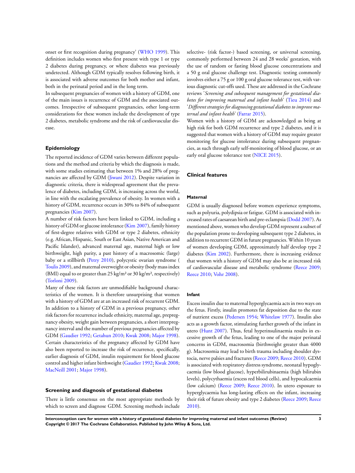onset or first recognition during pregnancy' [\(WHO 1999\)](#page-11-0). This definition includes women who first present with type 1 or type 2 diabetes during pregnancy, or where diabetes was previously undetected. Although GDM typically resolves following birth, it is associated with adverse outcomes for both mother and infant, both in the perinatal period and in the long term.

In subsequent pregnancies of women with a history of GDM, one of the main issues is recurrence of GDM and the associated outcomes. Irrespective of subsequent pregnancies, other long-term considerations for these women include the development of type 2 diabetes, metabolic syndrome and the risk of cardiovascular disease.

#### **Epidemiology**

The reported incidence of GDM varies between different populations and the method and criteria by which the diagnosis is made, with some studies estimating that between 1% and 28% of pregnancies are affected by GDM [\(Jiwani 2012](#page-11-0)). Despite variation in diagnostic criteria, there is widespread agreement that the prevalence of diabetes, including GDM, is increasing across the world, in line with the escalating prevalence of obesity. In women with a history of GDM, recurrence occurs in 30% to 84% of subsequent pregnancies ([Kim 2007\)](#page-11-0).

A number of risk factors have been linked to GDM, including a history of GDM or glucose intolerance [\(Kim 2007](#page-11-0)), family history of first-degree relatives with GDM or type 2 diabetes, ethnicity (e.g. African, Hispanic, South or East Asian, Native American and Pacific Islander), advanced maternal age, maternal high or low birthweight, high parity, a past history of a macrosomic (large) baby or a stillbirth [\(Petry 2010](#page-11-0)), polycystic ovarian syndrome ( [Toulis 2009\)](#page-11-0), and maternal overweight or obesity (body mass index (BMI) equal to or greater than 25 kg/m² or 30 kg/m², respectively) [\(Torloni 2009](#page-11-0)).

Many of these risk factors are unmodifiable background characteristics of the women. It is therefore unsurprising that women with a history of GDM are at an increased risk of recurrent GDM. In addition to a history of GDM in a previous pregnancy, other risk factors for recurrence include ethnicity, maternal age, prepregnancy obesity, weight gain between pregnancies, a short interpregnancy interval and the number of previous pregnancies affected by GDM [\(Gaudier 1992](#page-11-0); [Getahun 2010](#page-11-0); [Kwak 2008](#page-11-0); [Major 1998](#page-11-0)). Certain characteristics of the pregnancy affected by GDM have also been reported to increase the risk of recurrence, specifically, earlier diagnosis of GDM, insulin requirement for blood glucose control and higher infant birthweight [\(Gaudier 1992](#page-11-0); [Kwak 2008;](#page-11-0) [MacNeill 2001;](#page-11-0) [Major 1998\)](#page-11-0).

#### **Screening and diagnosis of gestational diabetes**

There is little consensus on the most appropriate methods by which to screen and diagnose GDM. Screening methods include selective- (risk factor-) based screening, or universal screening, commonly performed between 24 and 28 weeks' gestation, with the use of random or fasting blood glucose concentrations and a 50 g oral glucose challenge test. Diagnostic testing commonly involves either a 75 g or 100 g oral glucose tolerance test, with various diagnostic cut-offs used. These are addressed in the Cochrane reviews '*Screening and subsequent management for gestational diabetes for improving maternal and infant health*' [\(Tieu 2014](#page-11-0)) and '*Different strategies for diagnosing gestational diabetes to improve maternal and infant health*' [\(Farrar 2015](#page-11-0)).

Women with a history of GDM are acknowledged as being at high risk for both GDM recurrence and type 2 diabetes, and it is suggested that women with a history of GDM may require greater monitoring for glucose intolerance during subsequent pregnancies, as such through early self-monitoring of blood glucose, or an early oral glucose tolerance test ([NICE 2015\)](#page-11-0).

#### **Clinical features**

#### **Maternal**

GDM is usually diagnosed before women experience symptoms, such as polyuria, polydipsia or fatigue. GDM is associated with increased rates of caesarean birth and pre-eclampsia [\(Dodd 2007](#page-11-0)). As mentioned above, women who develop GDM represent a subset of the population prone to developing subsequent type 2 diabetes, in addition to recurrent GDM in future pregnancies. Within 10 years of women developing GDM, approximately half develop type 2 diabetes [\(Kim 2002\)](#page-11-0). Furthermore, there is increasing evidence that women with a history of GDM may also be at increased risk of cardiovascular disease and metabolic syndrome ([Reece 2009;](#page-11-0) [Reece 2010](#page-11-0); [Vohr 2008](#page-11-0)).

#### **Infant**

Excess insulin due to maternal hyperglycaemia acts in two ways on the fetus. Firstly, insulin promotes fat deposition due to the state of nutrient excess ([Pedersen 1954;](def http://onlinelibrary.wiley.com/openalty @M /hskip z@skip cochranepenalty @M /hskip z@skip clsysrevpenalty @M /hskip z@skip articlespenalty @M /hskip z@skip CD007222penalty @M /hskip z@skip bibliography.html#CD007222-bbs2-0078) [Whitelaw](def http://onlinelibrary.wiley.com/openalty @M /hskip z@skip cochranepenalty @M /hskip z@skip clsysrevpenalty @M /hskip z@skip articlespenalty @M /hskip z@skip CD007222penalty @M /hskip z@skip bibliography.html#CD007222-bbs2-0092) [1977](def http:/penalty @M /hskip z@skip onlinelibrary.penalty z@ wiley.penalty z@ compenalty @M /hskip z@skip openalty @M /hskip z@skip cochranepenalty @M /hskip z@skip clsysrevpenalty @M /hskip z@skip articlespenalty @M /hskip z@skip CD007222penalty @M /hskip z@skip bibliography.penalty z@ html#CD007222-bbs2-0092)). Insulin also acts as a growth factor, stimulating further growth of the infant in utero [\(Hunt 2007](#page-11-0)). Thus, fetal hyperinsulinaemia results in excessive growth of the fetus, leading to one of the major perinatal concerns in GDM, macrosomia (birthweight greater than 4000 g). Macrosomia may lead to birth trauma including shoulder dystocia, nerve palsies and fractures [\(Reece 2009](#page-11-0); [Reece 2010\)](#page-11-0). GDM is associated with respiratory distress syndrome, neonatal hypoglycaemia (low blood glucose), hyperbilirubinaemia (high bilirubin levels), polycythaemia (excess red blood cells), and hypocalcaemia (low calcium) [\(Reece 2009](#page-11-0); [Reece 2010](#page-11-0)). In utero exposure to hyperglycaemia has long-lasting effects on the infant, increasing their risk of future obesity and type 2 diabetes [\(Reece 2009](#page-11-0); [Reece](#page-11-0) [2010](#page-11-0)).

**Interconception care for women with a history of gestational diabetes for improving maternal and infant outcomes (Review) 3 Copyright © 2017 The Cochrane Collaboration. Published by John Wiley & Sons, Ltd.**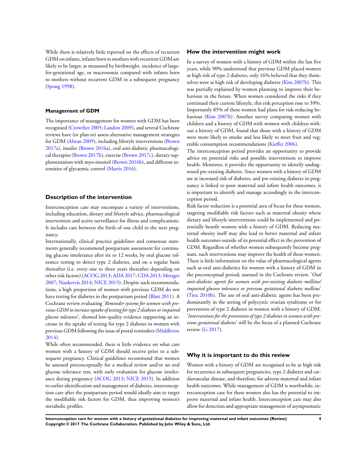While there is relatively little reported on the effects of recurrent GDM on infants, infants born to mothers with recurrent GDM are likely to be larger, as measured by birthweight, incidence of largefor-gestational age, or macrosomia compared with infants born to mothers without recurrent GDM in a subsequent pregnancy [\(Spong 1998](#page-11-0)).

#### **Management of GDM**

The importance of management for women with GDM has been recognised [\(Crowther 2005;](#page-11-0) [Landon 2009](#page-11-0)), and several Cochrane reviews have (or plan to) assess alternative management strategies for GDM ([Alwan 2009](#page-11-0)), including lifestyle interventions [\(Brown](#page-11-0) [2017a\)](#page-11-0), insulin ([Brown 2016a\)](#page-11-0), oral anti-diabetic pharmacological therapies ([Brown 2017b](#page-11-0)), exercise [\(Brown 2017c\)](#page-11-0), dietary supplementation with myo-inositol ([Brown 2016b](#page-11-0)), and different intensities of glycaemic control ([Martis 2016\)](#page-11-0).

#### **Description of the intervention**

Interconception care may encompass a variety of interventions, including education, dietary and lifestyle advice, pharmacological intervention and active surveillance for illness and complications. It includes care between the birth of one child to the next pregnancy.

Internationally, clinical practice guidelines and consensus statements generally recommend postpartum assessment for continuing glucose intolerance after six to 12 weeks, by oral glucose tolerance testing to detect type 2 diabetes, and on a regular basis thereafter (i.e. every one to three years thereafter depending on other risk factors) [\(ACOG 2013](#page-11-0); [ADA 2017;](#page-11-0) [CDA 2013](#page-11-0); [Metzger](#page-11-0) [2007](#page-11-0); [Nankervis 2014;](#page-11-0) [NICE 2015\)](#page-11-0). Despite such recommendations, a high proportion of women with previous GDM do not have testing for diabetes in the postpartum period ([Blatt 2011](#page-11-0)). A Cochrane review evaluating '*Reminder systems for women with previous GDM to increase uptake of testing for type 2 diabetes orimpaired glucose tolerance*', showed low-quality evidence supporting an increase in the uptake of testing for type 2 diabetes in women with previous GDM following the issue of postal reminders [\(Middleton](#page-11-0) [2014](#page-11-0)).

While often recommended, there is little evidence on what care women with a history of GDM should receive prior to a subsequent pregnancy. Clinical guidelines recommend that women be assessed preconceptually for a medical review and/or an oral glucose tolerance test, with early evaluation for glucose intolerance during pregnancy [\(ACOG 2013](#page-11-0); [NICE 2015](#page-11-0)). In addition to earlier identification and management of diabetes, interconception care after the postpartum period would ideally aim to target the modifiable risk factors for GDM, thus improving women's metabolic profiles.

#### **How the intervention might work**

In a survey of women with a history of GDM within the last five years, while 90% understood that previous GDM placed women at high risk of type 2 diabetes, only 16% believed that they themselves were at high risk of developing diabetes [\(Kim 2007b](#page-11-0)). This was partially explained by women planning to improve their behaviour in the future. When women considered the risks if they continued their current lifestyle, this risk perception rose to 39%. Importantly 85% of these women had plans for risk-reducing be-haviour ([Kim 2007b](#page-11-0)). Another survey comparing women with children and a history of GDM with women with children without a history of GDM, found that those with a history of GDM were more likely to smoke and less likely to meet fruit and vegetable consumption recommendations [\(Kieffer 2006](#page-11-0)).

The interconception period provides an opportunity to provide advice on potential risks and possible interventions to improve health. Moreover, it provides the opportunity to identify undiagnosed pre-existing diabetes. Since women with a history of GDM are at increased risk of diabetes, and pre-existing diabetes in pregnancy is linked to poor maternal and infant health outcomes, it is important to identify and manage accordingly in the interconception period.

Risk factor reduction is a potential area of focus for these women, targeting modifiable risk factors such as maternal obesity where dietary and lifestyle interventions could be implemented and potentially benefit women with a history of GDM. Reducing maternal obesity itself may also lead to better maternal and infant health outcomes outside of its potential effect in the prevention of GDM. Regardless of whether women subsequently become pregnant, such interventions may improve the health of these women. There is little information on the value of pharmacological agents such as oral anti-diabetics for women with a history of GDM in the preconceptual period; assessed in the Cochrane review, '*Oral anti-diabetic agents for women with pre-existing diabetes mellitus/ impaired glucose tolerance or previous gestational diabetes mellitus*' [\(Tieu 2010b](#page-11-0)). The use of oral anti-diabetic agents has been predominantly in the setting of polycystic ovarian syndrome or for prevention of type 2 diabetes in women with a history of GDM. '*Interventions for the prevention of type 2 diabetes in women with previous gestational diabetes*' will be the focus of a planned Cochrane review ([Li 2017](#page-11-0)).

# **Why it is important to do this review**

Women with a history of GDM are recognised to be at high risk for recurrence in subsequent pregnancies, type 2 diabetes and cardiovascular disease, and therefore, for adverse maternal and infant health outcomes. While management of GDM is worthwhile, interconception care for these women also has the potential to improve maternal and infant health. Interconception care may also allow for detection and appropriate management of asymptomatic

**Interconception care for women with a history of gestational diabetes for improving maternal and infant outcomes (Review) 4 Copyright © 2017 The Cochrane Collaboration. Published by John Wiley & Sons, Ltd.**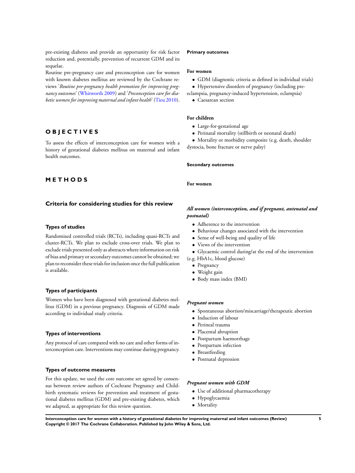pre-existing diabetes and provide an opportunity for risk factor reduction and, potentially, prevention of recurrent GDM and its sequelae.

Routine pre-pregnancy care and preconception care for women with known diabetes mellitus are reviewed by the Cochrane reviews '*Routine pre-pregnancy health promotion for improving pregnancy outcomes*' ([Whitworth 2009\)](#page-11-0) and '*Preconception care for diabetic women for improving maternal and infant health*' [\(Tieu 2010](#page-11-0)).

# **O B J E C T I V E S**

To assess the effects of interconception care for women with a history of gestational diabetes mellitus on maternal and infant health outcomes.

#### **M E T H O D S**

#### **Criteria for considering studies for this review**

#### **Types of studies**

Randomised controlled trials (RCTs), including quasi-RCTs and cluster-RCTs. We plan to exclude cross-over trials. We plan to exclude trials presented only as abstracts where information on risk of bias and primary or secondary outcomes cannot be obtained; we plan to reconsider these trials for inclusion once the full publication is available.

#### **Types of participants**

Women who have been diagnosed with gestational diabetes mellitus (GDM) in a previous pregnancy. Diagnosis of GDM made according to individual study criteria.

#### **Types of interventions**

Any protocol of care compared with no care and other forms of interconception care. Interventions may continue during pregnancy.

#### **Types of outcome measures**

For this update, we used the core outcome set agreed by consensus between review authors of Cochrane Pregnancy and Childbirth systematic reviews for prevention and treatment of gestational diabetes mellitus (GDM) and pre-existing diabetes, which we adapted, as appropriate for this review question.

#### **Primary outcomes**

#### **For women**

- GDM (diagnostic criteria as defined in individual trials)
- Hypertensive disorders of pregnancy (including pre-
- eclampsia, pregnancy-induced hypertension, eclampsia)
	- Caesarean section

#### **For children**

- Large-for-gestational age
- Perinatal mortality (stillbirth or neonatal death)
- Mortality or morbidity composite (e.g. death, shoulder

dystocia, bone fracture or nerve palsy)

#### **Secondary outcomes**

#### **For women**

# *All women (interconception, and if pregnant, antenatal and postnatal)*

- Adherence to the intervention
- Behaviour changes associated with the intervention
- Sense of well-being and quality of life
- Views of the intervention
- Glycaemic control during/at the end of the intervention
- (e.g. HbA1c, blood glucose)
	- Pregnancy
	- Weight gain
	- Body mass index (BMI)

#### *Pregnant women*

- Spontaneous abortion/miscarriage/therapeutic abortion
- Induction of labour
- Perineal trauma
- Placental abruption
- Postpartum haemorrhage
- Postpartum infection
- Breastfeeding
- Postnatal depression

#### *Pregnant women with GDM*

- Use of additional pharmacotherapy
- Hypoglycaemia
- Mortality

**Interconception care for women with a history of gestational diabetes for improving maternal and infant outcomes (Review) 5 Copyright © 2017 The Cochrane Collaboration. Published by John Wiley & Sons, Ltd.**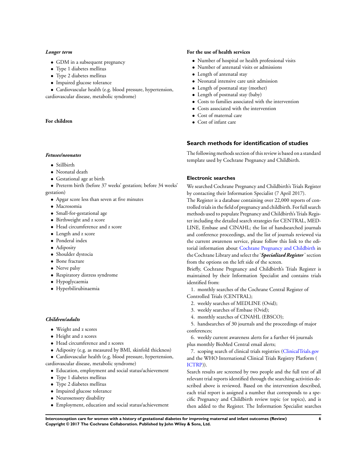#### *Longer term*

- GDM in a subsequent pregnancy
- Type 1 diabetes mellitus
- Type 2 diabetes mellitus
- Impaired glucose tolerance
- Cardiovascular health (e.g. blood pressure, hypertension, cardiovascular disease, metabolic syndrome)

#### **For children**

#### *Fetuses/neonates*

- Stillbirth
- Neonatal death
- Gestational age at birth
- Preterm birth (before 37 weeks' gestation; before 34 weeks' gestation)
	- Apgar score less than seven at five minutes
	- Macrosomia
	- Small-for-gestational age
	- Birthweight and z score
	- Head circumference and z score
	- Length and z score
	- Ponderal index
	- Adiposity
	- Shoulder dystocia
	- Bone fracture
	- Nerve palsy
	- Respiratory distress syndrome
	- Hypoglycaemia
	- Hyperbilirubinaemia

# *Children/adults*

- Weight and z scores
- Height and z scores
- Head circumference and z scores
- Adiposity (e.g. as measured by BMI, skinfold thickness)
- Cardiovascular health (e.g. blood pressure, hypertension, cardiovascular disease, metabolic syndrome)
	- Education, employment and social status/achievement
	- Type 1 diabetes mellitus
	- Type 2 diabetes mellitus
	- Impaired glucose tolerance
	- Neurosensory disability
	- Employment, education and social status/achievement

#### **For the use of health services**

- Number of hospital or health professional visits
- Number of antenatal visits or admissions
- Length of antenatal stay
- Neonatal intensive care unit admission
- Length of postnatal stay (mother)
- Length of postnatal stay (baby)
- Costs to families associated with the intervention
- Costs associated with the intervention
- Cost of maternal care
- Cost of infant care

#### **Search methods for identification of studies**

The following methods section of this review is based on a standard template used by Cochrane Pregnancy and Childbirth.

#### **Electronic searches**

We searched Cochrane Pregnancy and Childbirth's Trials Register by contacting their Information Specialist (7 April 2017).

The Register is a database containing over 22,000 reports of controlled trials in the field of pregnancy and childbirth. For full search methods used to populate Pregnancy and Childbirth's Trials Register including the detailed search strategies for CENTRAL, MED-LINE, Embase and CINAHL; the list of handsearched journals and conference proceedings, and the list of journals reviewed via the current awareness service, please follow this link to the editorial information about [Cochrane Pregnancy and](def http://onlinelibrary.wiley.com/openalty @M /hskip z@skip cochranepenalty @M /hskip z@skip claboutpenalty @M /hskip z@skip articles/PREGpenalty @M /hskip z@skip frame.html) [Childbirth](def http:/penalty @M /hskip z@skip onlinelibrary.penalty z@ wiley.penalty z@ compenalty @M /hskip z@skip openalty @M /hskip z@skip cochranepenalty @M /hskip z@skip claboutpenalty @M /hskip z@skip articlespenalty @M /hskip z@skip PREGpenalty @M /hskip z@skip frame.penalty z@ html) in the Cochrane Library and select the '*Specialized Register*' section from the options on the left side of the screen.

Briefly, Cochrane Pregnancy and Childbirth's Trials Register is maintained by their Information Specialist and contains trials identified from:

1. monthly searches of the Cochrane Central Register of Controlled Trials (CENTRAL);

- 2. weekly searches of MEDLINE (Ovid);
- 3. weekly searches of Embase (Ovid);
- 4. monthly searches of CINAHL (EBSCO);

5. handsearches of 30 journals and the proceedings of major conferences;

6. weekly current awareness alerts for a further 44 journals plus monthly BioMed Central email alerts;

7. scoping search of clinical trials registries ([ClinicalTrials.gov](def http://clinicaltrials.gov/) and the WHO International Clinical Trials Registry Platform ( [ICTRP](def http:/penalty @M /hskip z@skip apps.penalty z@ who.penalty z@ intpenalty @M /hskip z@skip trialsearchpenalty @M /hskip z@skip ))).

Search results are screened by two people and the full text of all relevant trial reports identified through the searching activities described above is reviewed. Based on the intervention described, each trial report is assigned a number that corresponds to a specific Pregnancy and Childbirth review topic (or topics), and is then added to the Register. The Information Specialist searches

**Interconception care for women with a history of gestational diabetes for improving maternal and infant outcomes (Review) 6 Copyright © 2017 The Cochrane Collaboration. Published by John Wiley & Sons, Ltd.**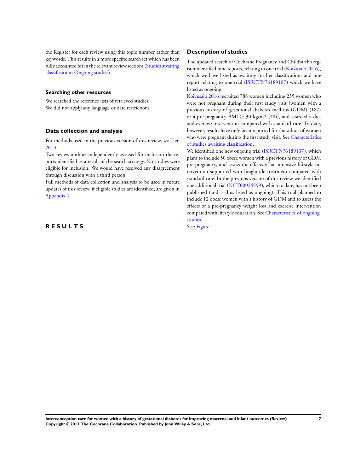the Register for each review using this topic number rather than keywords. This results in a more specific search set which has been fully accounted for in the relevant review sections ([Studies awaiting](#page-11-0) [classification;](#page-11-0) [Ongoing studies\)](#page-11-0).

#### **Searching other resources**

We searched the reference lists of retrieved studies. We did not apply any language or date restrictions.

#### **Data collection and analysis**

For methods used in the previous version of this review, *see* [Tieu](#page-11-0) [2013](#page-11-0).

Two review authors independently assessed for inclusion the reports identified as a result of the search strategy. No studies were eligible for inclusion. We would have resolved any disagreement through discussion with a third person.

Full methods of data collection and analysis to be used in future updates of this review, if eligible studies are identified, are given in [Appendix 1.](#page-18-0)

**R E S U L T S**

#### **Description of studies**

The updated search of Cochrane Pregnancy and Childbirth's reg-ister identified nine reports, relating to one trial [\(Koivusalo 2016](#page-11-0)), which we have listed as awaiting further classification, and one report relating to one trial ([ISRCTN76189107](#page-11-0)) which we have listed as ongoing.

[Koivusalo 2016](#page-11-0) recruited 788 women including 235 women who were not pregnant during their first study visit (women with a previous history of gestational diabetes mellitus (GDM) (187) or a pre-pregnancy BMI  $\geq$  30 kg/m2 (48)), and assessed a diet and exercise intervention compared with standard care. To date, however, results have only been reported for the subset of women who were pregnant during the first study visit. See [Characteristics](#page-15-0) [of studies awaiting classification.](#page-15-0)

We identified one new ongoing trial ([ISRCTN76189107](#page-11-0)), which plans to include 50 obese women with a previous history of GDM pre-pregnancy, and assess the effects of an intensive lifestyle intervention supported with liraglutide treatment compared with standard care. In the previous version of this review we identified one additional trial [\(NCT00924599](#page-11-0)), which to date, has not been published (and is thus listed as ongoing). This trial planned to include 12 obese women with a history of GDM and to assess the effects of a pre-pregnancy weight loss and exercise intervention compared with lifestyle education. See [Characteristics of ongoing](def http://onlinelibrary.wiley.com/doi/10.1002/14651858.CD009302.pub2penalty @M /hskip z@skip tables#CD009302-sec2-0016) [studies.](def http:/penalty @M /hskip z@skip onlinelibrary.penalty z@ wiley.penalty z@ compenalty @M /hskip z@skip doipenalty @M /hskip z@skip 10.penalty z@ 1002penalty @M /hskip z@skip 14651858.penalty z@ CD009302.penalty z@ pub2penalty @M /hskip z@skip tables#CD009302-sec2-0016)

See: [Figure 1.](#page-10-0)

**Interconception care for women with a history of gestational diabetes for improving maternal and infant outcomes (Review) 7 Copyright © 2017 The Cochrane Collaboration. Published by John Wiley & Sons, Ltd.**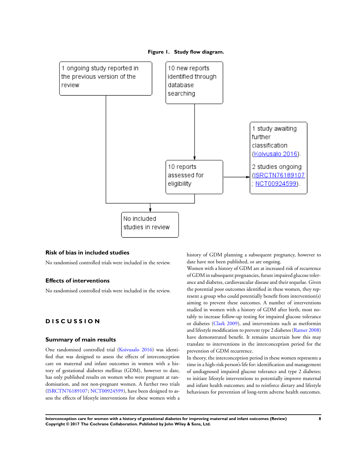<span id="page-10-0"></span>

#### **Figure 1. Study flow diagram.**

### **Risk of bias in included studies**

No randomised controlled trials were included in the review.

#### **Effects of interventions**

No randomised controlled trials were included in the review.

## **D I S C U S S I O N**

#### **Summary of main results**

One randomised controlled trial [\(Koivusalo 2016](#page-11-0)) was identified that was designed to assess the effects of interconception care on maternal and infant outcomes in women with a history of gestational diabetes mellitus (GDM), however to date, has only published results on women who were pregnant at randomisation, and not non-pregnant women. A further two trials [\(ISRCTN76189107](#page-11-0); [NCT00924599\)](#page-11-0), have been designed to assess the effects of lifestyle interventions for obese women with a history of GDM planning a subsequent pregnancy, however to date have not been published, or are ongoing.

Women with a history of GDM are at increased risk of recurrence of GDM in subsequent pregnancies, future impaired glucose tolerance and diabetes, cardiovascular disease and their sequelae. Given the potential poor outcomes identified in these women, they represent a group who could potentially benefit from intervention(s) aiming to prevent these outcomes. A number of interventions studied in women with a history of GDM after birth, most notably to increase follow-up testing for impaired glucose tolerance or diabetes ([Clark 2009](#page-11-0)), and interventions such as metformin and lifestyle modification to prevent type 2 diabetes [\(Ratner 2008](#page-11-0)) have demonstrated benefit. It remains uncertain how this may translate to interventions in the interconception period for the prevention of GDM recurrence.

In theory, the interconception period in these women represents a time in a high-risk person's life for: identification and management of undiagnosed impaired glucose tolerance and type 2 diabetes; to initiate lifestyle interventions to potentially improve maternal and infant health outcomes; and to reinforce dietary and lifestyle behaviours for prevention of long-term adverse health outcomes.

**Interconception care for women with a history of gestational diabetes for improving maternal and infant outcomes (Review) 8 Copyright © 2017 The Cochrane Collaboration. Published by John Wiley & Sons, Ltd.**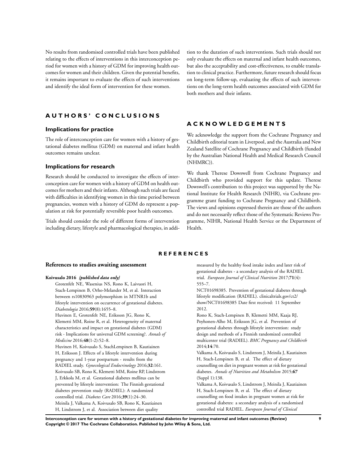<span id="page-11-0"></span>No results from randomised controlled trials have been published relating to the effects of interventions in this interconception period for women with a history of GDM for improving health outcomes for women and their children. Given the potential benefits, it remains important to evaluate the effects of such interventions and identify the ideal form of intervention for these women.

# **A U T H O R S ' C O N C L U S I O N S**

#### **Implications for practice**

The role of interconception care for women with a history of gestational diabetes mellitus (GDM) on maternal and infant health outcomes remains unclear.

#### **Implications for research**

Research should be conducted to investigate the effects of interconception care for women with a history of GDM on health outcomes for mothers and their infants. Although such trials are faced with difficulties in identifying women in this time period between pregnancies, women with a history of GDM do represent a population at risk for potentially reversible poor health outcomes.

Trials should consider the role of different forms of intervention including dietary, lifestyle and pharmacological therapies, in addi-

tion to the duration of such interventions. Such trials should not only evaluate the effects on maternal and infant health outcomes, but also the acceptability and cost-effectiveness, to enable translation to clinical practice. Furthermore, future research should focus on long-term follow-up, evaluating the effects of such interventions on the long-term health outcomes associated with GDM for both mothers and their infants.

# **A C K N O W L E D G E M E N T S**

We acknowledge the support from the Cochrane Pregnancy and Childbirth editorial team in Liverpool, and the Australia and New Zealand Satellite of Cochrane Pregnancy and Childbirth (funded by the Australian National Health and Medical Research Council (NHMRC)).

We thank Therese Dowswell from Cochrane Pregnancy and Childbirth who provided support for this update. Therese Dowswell's contribution to this project was supported by the National Institute for Health Research (NIHR), via Cochrane programme grant funding to Cochrane Pregnancy and Childbirth. The views and opinions expressed therein are those of the authors and do not necessarily reflect those of the Systematic Reviews Programme, NIHR, National Health Service or the Department of Health.

#### **R E F E R E N C E S**

#### **References to studies awaiting assessment**

#### **Koivusalo 2016** *{published data only}*

Grotenfelt NE, Wasenius NS, Rono K, Laivuori H, Stach-Lempinen B, Orho-Melander M, et al. Interaction between rs10830963 polymorphism in MTNR1b and lifestyle intervention on occurrence of gestational diabetes. *Diabetologia* 2016;**59**(8):1655–8. Huvinen E, Grotenfelt NE, Eriksson JG, Rono K, Klemetti MM, Roine R, et al. Heterogeneity of maternal characteristics and impact on gestational diabetes (GDM) risk - Implications for universal GDM screening?. *Annals of Medicine* 2016;**48**(1-2):52–8. Huvinen H, Koivusalo S, StachLempinen B, Kautiainen H, Eriksson J. Effects of a lifestyle intervention during pregnancy and 1-year postpartum - results from the RADIEL study. *Gynecological Endocrinology* 2016;**32**:161. Koivusalo SB, Rono K, Klemetti MM, Roine RP, Lindstrom J, Erkkola M, et al. Gestational diabetes mellitus can be prevented by lifestyle intervention: The Finnish gestational diabetes prevention study (RADIEL): A randomized controlled trial. *Diabetes Care* 2016;**39**(1):24–30. Meinila J, Valkama A, Koivusalo SB, Rono K, Kautiainen H, Lindstrom J, et al. Association between diet quality

measured by the healthy food intake index and later risk of gestational diabetes - a secondary analysis of the RADIEL trial. *European Journal of Clinical Nutrition* 2017;**71**(4): 555–7.

NCT01698385. Prevention of gestational diabetes through lifestyle modification (RADIEL). clinicaltrials.gov/ct2/ show/NCT01698385 Date first received: 11 September 2012.

Rono K, Stach-Lempinen B, Klemetti MM, Kaaja RJ, Poyhonen-Alho M, Eriksson JG, et al. Prevention of gestational diabetes through lifestyle intervention: study design and methods of a Finnish randomized controlled multicenter trial (RADIEL). *BMC Pregnancy and Childbirth* 2014;**14**:70.

Valkama A, Koivusalo S, Lindstrom J, Meinila J, Kautiainen H, Stach-Lempinen B, et al. The effect of dietary counselling on diet in pregnant women at risk for gestational diabetes. *Annals of Nutrition and Metabolism* 2015;**67** (Suppl 1):138.

Valkama A, Koivusalo S, Lindstrom J, Meinila J, Kautiainen H, Stach-Lempinen B, et al. The effect of dietary counselling on food intakes in pregnant women at risk for gestational diabetes: a secondary analysis of a randomised controlled trial RADIEL. *European Journal of Clinical*

**Interconception care for women with a history of gestational diabetes for improving maternal and infant outcomes (Review) 9 Copyright © 2017 The Cochrane Collaboration. Published by John Wiley & Sons, Ltd.**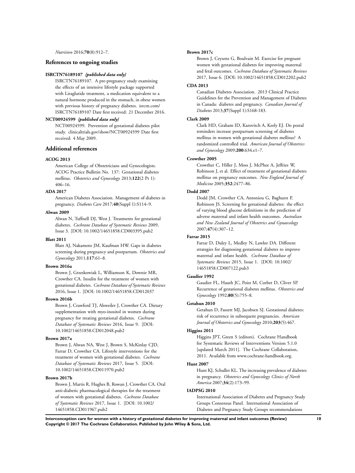#### *Nutrition* 2016;**70**(8):912–7.

#### **References to ongoing studies**

#### **ISRCTN76189107** *{published data only}*

ISRCTN76189107. A pre-pregnancy study examining the effects of an intensive lifestyle package supported with Liraglutide treatment, a medication equivalent to a natural hormone produced in the stomach, in obese women with previous history of pregnancy diabetes. isrctn.com/ ISRCTN76189107 Date first received: 21 December 2016.

#### **NCT00924599** *{published data only}*

NCT00924599. Prevention of gestational diabetes pilot study. clinicaltrials.gov/show/NCT00924599 Date first received: 4 May 2009.

#### **Additional references**

#### **ACOG 2013**

American College of Obstetricians and Gynecologists. ACOG Practice Bulletin No. 137: Gestational diabetes mellitus. *Obstetrics and Gynecology* 2013;**122**(2 Pt 1): 406–16.

#### **ADA 2017**

American Diabetes Association. Management of diabetes in pregnancy. *Diabetes Care* 2017;**40**(Suppl 1):S114–9.

#### **Alwan 2009**

Alwan N, Tuffnell DJ, West J. Treatments for gestational diabetes. *Cochrane Database of Systematic Reviews* 2009, Issue 3. [DOI: 10.1002/14651858.CD003395.pub2

#### **Blatt 2011**

Blatt AJ, Nakamoto JM, Kaufman HW. Gaps in diabetes screening during pregnancy and postpartum. *Obstetrics and Gynecology* 2011;**117**:61–8.

#### **Brown 2016a**

Brown J, Grzeskowiak L, Williamson K, Downie MR, Crowther CA. Insulin for the treatment of women with gestational diabetes. *Cochrane Database of Systematic Reviews* 2016, Issue 1. [DOI: 10.1002/14651858.CD012037

#### **Brown 2016b**

Brown J, Crawford TJ, Alsweiler J, Crowther CA. Dietary supplementation with myo-inositol in women during pregnancy for treating gestational diabetes. *Cochrane Database of Systematic Reviews* 2016, Issue 9. [DOI: 10.1002/14651858.CD012048.pub2

#### **Brown 2017a**

Brown J, Alwan NA, West J, Brown S, McKinlay CJD, Farrar D, Crowther CA. Lifestyle interventions for the treatment of women with gestational diabetes. *Cochrane Database of Systematic Reviews* 2017, Issue 5. [DOI: 10.1002/14651858.CD011970.pub2

#### **Brown 2017b**

Brown J, Martis R, Hughes B, Rowan J, Crowther CA. Oral anti-diabetic pharmacological therapies for the treatment of women with gestational diabetes. *Cochrane Database of Systematic Reviews* 2017, Issue 1. [DOI: 10.1002/ 14651858.CD011967.pub2

#### **Brown 2017c**

Brown J, Ceysens G, Boulvain M. Exercise for pregnant women with gestational diabetes for improving maternal and fetal outcomes. *Cochrane Database of Systematic Reviews* 2017, Issue 6. [DOI: 10.1002/14651858.CD012202.pub2

#### **CDA 2013**

Canadian Diabetes Association. 2013 Clinical Practice Guidelines for the Prevention and Management of Diabetes in Canada: diabetes and pregnancy. *Canadian Journal of Diabetes* 2013;**37**(Suppl 1):S168-183.

#### **Clark 2009**

Clark HD, Graham ID, Karovitch A, Keely EJ. Do postal reminders increase postpartum screening of diabetes mellitus in women with gestational diabetes mellitus? A randomized controlled trial. *American Journal of Obstetrics and Gynecology* 2009;**200**:634.e1–7.

#### **Crowther 2005**

Crowther C, Hiller J, Moss J, McPhee A, Jeffries W, Robinson J, et al. Effect of treatment of gestational diabetes mellitus on pregnancy outcomes. *New England Journal of Medicine* 2005;**352**:2477–86.

#### **Dodd 2007**

Dodd JM, Crowther CA, Antoniou G, Baghurst P, Robinson JS. Screening for gestational diabetes: the effect of varying blood glucose definitions in the prediction of adverse maternal and infant health outcomes. *Australian and New Zealand Journal of Obstetrics and Gynaecology* 2007;**47**(4):307–12.

#### **Farrar 2015**

Farrar D, Duley L, Medley N, Lawlor DA. Different strategies for diagnosing gestational diabetes to improve maternal and infant health. *Cochrane Database of Systematic Reviews* 2015, Issue 1. [DOI: 10.1002/ 14651858.CD007122.pub3

#### **Gaudier 1992**

Gaudier FL, Hauth JC, Poist M, Corbet D, Cliver SP. Recurrence of gestational diabetes mellitus. *Obstetrics and Gynecology* 1992;**80**(5):755–8.

#### **Getahun 2010**

Getahun D, Fassett MJ, Jacobsen SJ. Gestational diabetes: risk of recurrence in subsequent pregnancies. *American Journal of Obstetrics and Gynecology* 2010;**203**(5):467.

#### **Higgins 2011**

Higgins JPT, Green S (editors). Cochrane Handbook for Systematic Reviews of Interventions Version 5.1.0 [updated March 2011]. The Cochrane Collaboration, 2011. Available from www.cochrane-handbook.org.

#### **Hunt 2007**

Hunt KJ, Schuller KL. The increasing prevalence of diabetes in pregnancy. *Obstetrics and Gynecology Clinics of North America* 2007;**34**(2):173–99.

#### **IADPSG 2010**

International Association of Diabetes and Pregnancy Study Groups Consensus Panel. International Association of Diabetes and Pregnancy Study Groups recommendations

**Interconception care for women with a history of gestational diabetes for improving maternal and infant outcomes (Review) 10 Copyright © 2017 The Cochrane Collaboration. Published by John Wiley & Sons, Ltd.**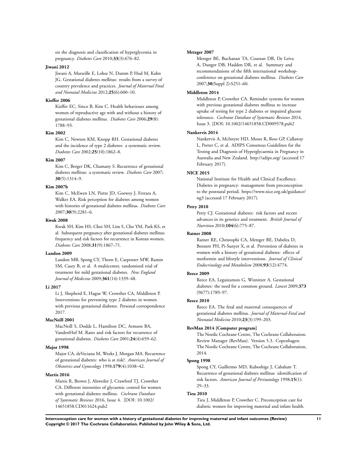on the diagnosis and classification of hyperglycemia in pregnancy. *Diabetes Care* 2010;**33**(3):676–82.

#### **Jiwani 2012**

Jiwani A, Marseille E, Lohse N, Damm P, Hod M, Kahn JG. Gestational diabetes mellitus: results from a survey of country prevalence and practices. *Journal of Maternal Fetal and Neonatal Medicine* 2012;**25**(6):600–10.

#### **Kieffer 2006**

Kieffer EC, Sinco B, Kim C. Health behaviours among women of reproductive age with and without a history of gestational diabetes mellitus. *Diabetes Care* 2006;**29**(8): 1788–93.

#### **Kim 2002**

Kim C, Newton KM, Knopp RH. Gestational diabetes and the incidence of type 2 diabetes: a systematic review. *Diabetes Care* 2002;**25**(10):1862–8.

#### **Kim 2007**

Kim C, Berger DK, Chamany S. Recurrence of gestational diabetes mellitus: a systematic review. *Diabetes Care* 2007; **30**(5):1314–9.

#### **Kim 2007b**

Kim C, McEwen LN, Piette JD, Goewey J, Ferrara A, Walker EA. Risk perception for diabetes among women with histories of gestational diabetes mellitus. *Diabetes Care* 2007;**30**(9):2281–6.

#### **Kwak 2008**

Kwak SH, Kim HS, Choi SH, Lim S, Cho YM, Park KS, et al. Subsequent pregnancy after gestational diabetes mellitus: frequency and risk factors for recurrence in Korean women. *Diabetes Care* 2008;**31**(9):1867–71.

#### **Landon 2009**

Landon MB, Spong CY, Thorn E, Carpenter MW, Ramin SM, Casey B, et al. A multicenter, randomized trial of treatment for mild gestational diabetes. *New England Journal of Medicine* 2009;**361**(14):1339–48.

#### **Li 2017**

Li J, Shepherd E, Hague W, Crowther CA, Middleton P. Interventions for preventing type 2 diabetes in women with previous gestational diabetes. Personal correspondence 2017.

#### **MacNeill 2001**

MacNeill S, Dodds L, Hamilton DC, Armson BA, VandenHof M. Rates and risk factors for recurrence of gestational diabetes. *Diabetes Care* 2001;**24**(4):659–62.

#### **Major 1998**

Major CA, deVeciana M, Weeks J, Morgan MA. Recurrence of gestational diabetes: who is at risk?. *American Journal of Obstetrics and Gynecology* 1998;**179**(4):1038–42.

#### **Martis 2016**

Martis R, Brown J, Alsweiler J, Crawford TJ, Crowther CA. Different intensities of glycaemic control for women with gestational diabetes mellitus. *Cochrane Database of Systematic Reviews* 2016, Issue 4. [DOI: 10.1002/ 14651858.CD011624.pub2

#### **Metzger 2007**

Metzger BE, Buchanan TA, Coustan DR, De Leiva A, Dunger DB, Hadden DR, et al. Summary and recommendations of the fifth international workshopconference on gestational diabetes mellitus. *Diabetes Care* 2007;**30**(Suppl 2):S251–60.

#### **Middleton 2014**

Middleton P, Crowther CA. Reminder systems for women with previous gestational diabetes mellitus to increase uptake of testing for type 2 diabetes or impaired glucose tolerance. *Cochrane Database of Systematic Reviews* 2014, Issue 3. [DOI: 10.1002/14651858.CD009578.pub2

#### **Nankervis 2014**

Nankervis A, McIntyre HD, Moses R, Ross GP, Callaway L, Porter C, et al. ADIPS Consensus Guidelines for the Testing and Diagnosis of Hyperglycaemia in Pregnancy in Australia and New Zealand. http://adips.org/ (accessed 17 February 2017).

#### **NICE 2015**

National Institute for Health and Clinical Excellence. Diabetes in pregnancy: management from preconception to the postnatal period. https://www.nice.org.uk/guidance/ ng3 (accessed 17 February 2017).

#### **Petry 2010**

Petry CJ. Gestational diabetes: risk factors and recent advances in its genetics and treatment. *British Journal of Nutrition* 2010;**104**(6):775–87.

#### **Ratner 2008**

Ratner RE, Christophi CA, Metzger BE, Dabelea D, Bennett PH, Pi-Sunyer X, et al. Prevention of diabetes in women with a history of gestational diabetes: effects of metformin and lifestyle interventions. *Journal of Clinical Endocrinology and Metabolism* 2008;**93**(12):4774.

#### **Reece 2009**

Reece EA, Leguizamon G, Wiznitzer A. Gestational diabetes: the need for a common ground. *Lancet* 2009;**373** (9677):1789–97.

#### **Reece 2010**

Reece EA. The fetal and maternal consequences of gestational diabetes mellitus. *Journal of Maternal-Fetal and Neonatal Medicine* 2010;**23**(3):199–203.

#### **RevMan 2014 [Computer program]**

The Nordic Cochrane Centre, The Cochrane Collaboration. Review Manager (RevMan). Version 5.3. Copenhagen: The Nordic Cochrane Centre, The Cochrane Collaboration, 2014.

#### **Spong 1998**

Spong CY, Guillermo MD, Kuboshige J, Cabalum T. Recurrence of gestational diabetes mellitus: identification of risk factors. *American Journal of Perinatology* 1998;**15**(1): 29–33.

#### **Tieu 2010**

Tieu J, Middleton P, Crowther C. Preconception care for diabetic women for improving maternal and infant health.

**Interconception care for women with a history of gestational diabetes for improving maternal and infant outcomes (Review) 11 Copyright © 2017 The Cochrane Collaboration. Published by John Wiley & Sons, Ltd.**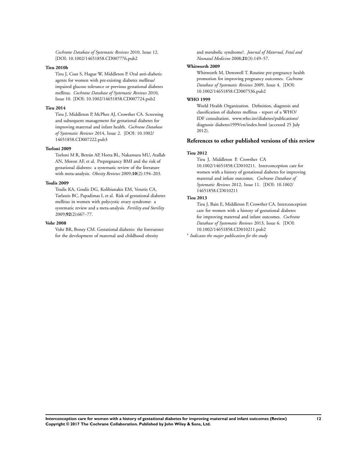*Cochrane Database of Systematic Reviews* 2010, Issue 12. [DOI: 10.1002/14651858.CD007776.pub2

#### **Tieu 2010b**

Tieu J, Coat S, Hague W, Middleton P. Oral anti-diabetic agents for women with pre-existing diabetes mellitus/ impaired glucose tolerance or previous gestational diabetes mellitus. *Cochrane Database of Systematic Reviews* 2010, Issue 10. [DOI: 10.1002/14651858.CD007724.pub2

#### **Tieu 2014**

Tieu J, Middleton P, McPhee AJ, Crowther CA. Screening and subsequent management for gestational diabetes for improving maternal and infant health. *Cochrane Database of Systematic Reviews* 2014, Issue 2. [DOI: 10.1002/ 14651858.CD007222.pub3

#### **Torloni 2009**

Torloni M R, Betrán AP, Horta BL, Nakamura MU, Atallah AN, Moron AF, et al. Prepregnancy BMI and the risk of gestational diabetes: a systematic review of the literature with meta-analysis. *Obesity Reviews* 2009;**10**(2):194–203.

#### **Toulis 2009**

Toulis KA, Goulis DG, Kolibianakis EM, Venetis CA, Tarlatzis BC, Papadimas I, et al. Risk of gestational diabetes mellitus in women with polycystic ovary syndrome: a systematic review and a meta-analysis. *Fertility and Sterility* 2009;**92**(2):667–77.

#### **Vohr 2008**

Vohr BR, Boney CM. Gestational diabetes: the forerunner for the development of maternal and childhood obesity

and metabolic syndrome?. *Journal of Maternal, Fetal and Neonatal Medicine* 2008;**21**(3):149–57.

#### **Whitworth 2009**

Whitworth M, Dowswell T. Routine pre-pregnancy health promotion for improving pregnancy outcomes. *Cochrane Database of Systematic Reviews* 2009, Issue 4. [DOI: 10.1002/14651858.CD007536.pub2

#### **WHO 1999**

World Health Organization. Definition, diagnosis and classification of diabetes mellitus - report of a WHO/ IDF consultation. www.who.int/diabetes/publications/ diagnosis˙diabetes1999/en/index.html (accessed 25 July 2012).

#### **References to other published versions of this review**

#### **Tieu 2012**

Tieu J, Middleton P, Crowther CA 10.1002/14651858.CD010211. Interconception care for women with a history of gestational diabetes for improving maternal and infant outcomes. *Cochrane Database of Systematic Reviews* 2012, Issue 11. [DOI: 10.1002/ 14651858.CD010211

#### **Tieu 2013**

Tieu J, Bain E, Middleton P, Crowther CA. Interconception care for women with a history of gestational diabetes for improving maternal and infant outcomes. *Cochrane Database of Systematic Reviews* 2013, Issue 6. [DOI: 10.1002/14651858.CD010211.pub2

∗ *Indicates the major publication for the study*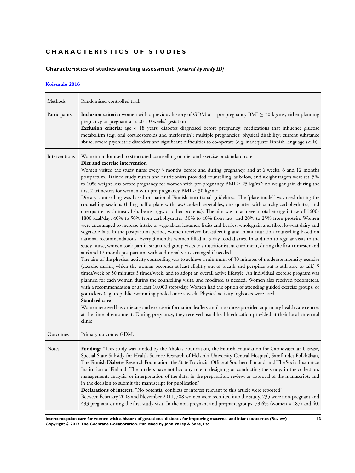# <span id="page-15-0"></span>**CHARACTERISTICS OF STUDIES**

# **Characteristics of studies awaiting assessment** *[ordered by study ID]*

### **[Koivusalo 2016](#page-11-0)**

| Methods       | Randomised controlled trial.                                                                                                                                                                                                                                                                                                                                                                                                                                                                                                                                                                                                                                                                                                                                                                                                                                                                                                                                                                                                                                                                                                                                                                                                                                                                                                                                                                                                                                                                                                                                                                                                                                                                                                                                                                                                                                                                                                                                                                                                                                                                                                                                                                                                                                                                                                                                                                                                                                                                                                                                                                                     |  |  |
|---------------|------------------------------------------------------------------------------------------------------------------------------------------------------------------------------------------------------------------------------------------------------------------------------------------------------------------------------------------------------------------------------------------------------------------------------------------------------------------------------------------------------------------------------------------------------------------------------------------------------------------------------------------------------------------------------------------------------------------------------------------------------------------------------------------------------------------------------------------------------------------------------------------------------------------------------------------------------------------------------------------------------------------------------------------------------------------------------------------------------------------------------------------------------------------------------------------------------------------------------------------------------------------------------------------------------------------------------------------------------------------------------------------------------------------------------------------------------------------------------------------------------------------------------------------------------------------------------------------------------------------------------------------------------------------------------------------------------------------------------------------------------------------------------------------------------------------------------------------------------------------------------------------------------------------------------------------------------------------------------------------------------------------------------------------------------------------------------------------------------------------------------------------------------------------------------------------------------------------------------------------------------------------------------------------------------------------------------------------------------------------------------------------------------------------------------------------------------------------------------------------------------------------------------------------------------------------------------------------------------------------|--|--|
| Participants  | <b>Inclusion criteria:</b> women with a previous history of GDM or a pre-pregnancy BMI $\geq$ 30 kg/m <sup>2</sup> , either planning<br>pregnancy or pregnant at $< 20 + 0$ weeks' gestation<br>Exclusion criteria: age < 18 years; diabetes diagnosed before pregnancy; medications that influence glucose<br>metabolism (e.g. oral corticosteroids and metformin); multiple pregnancies; physical disability; current substance<br>abuse; severe psychiatric disorders and significant difficulties to co-operate (e.g. inadequate Finnish language skills)                                                                                                                                                                                                                                                                                                                                                                                                                                                                                                                                                                                                                                                                                                                                                                                                                                                                                                                                                                                                                                                                                                                                                                                                                                                                                                                                                                                                                                                                                                                                                                                                                                                                                                                                                                                                                                                                                                                                                                                                                                                    |  |  |
| Interventions | Women randomised to structured counselling on diet and exercise or standard care<br>Diet and exercise intervention<br>Women visited the study nurse every 3 months before and during pregnancy, and at 6 weeks, 6 and 12 months<br>postpartum. Trained study nurses and nutritionists provided counselling, as below, and weight targets were set: 5%<br>to 10% weight loss before pregnancy for women with pre-pregnancy BMI $\geq$ 25 kg/m <sup>2</sup> ; no weight gain during the<br>first 2 trimesters for women with pre-pregnancy BMI $\geq 30$ kg/m <sup>2</sup><br>Dietary counselling was based on national Finnish nutritional guidelines. The 'plate model' was used during the<br>counselling sessions (filling half a plate with raw/cooked vegetables, one quarter with starchy carbohydrates, and<br>one quarter with meat, fish, beans, eggs or other proteins). The aim was to achieve a total energy intake of 1600-<br>1800 kcal/day; 40% to 50% from carbohydrates, 30% to 40% from fats, and 20% to 25% from protein. Women<br>were encouraged to increase intake of vegetables, legumes, fruits and berries; wholegrain and fibre; low-fat dairy and<br>vegetable fats. In the postpartum period, women received breastfeeding and infant nutrition counselling based on<br>national recommendations. Every 3 months women filled in 3-day food diaries. In addition to regular visits to the<br>study nurse, women took part in structured group visits to a nutritionist, at enrolment, during the first trimester and<br>at 6 and 12 month postpartum; with additional visits arranged if needed<br>The aim of the physical activity counselling was to achieve a minimum of 30 minutes of moderate intensity exercise<br>(exercise during which the woman becomes at least slightly out of breath and perspires but is still able to talk) 5<br>times/week or 50 minutes 3 times/week, and to adopt an overall active lifestyle. An individual exercise program was<br>planned for each woman during the counselling visits, and modified as needed. Women also received pedometers,<br>with a recommendation of at least 10,000 steps/day. Women had the option of attending guided exercise groups, or<br>got tickets (e.g. to public swimming pooled once a week. Physical activity logbooks were used<br>Standard care<br>Women received basic dietary and exercise information leaflets similar to those provided at primary health care centres<br>at the time of enrolment. During pregnancy, they received usual health education provided at their local antenatal<br>clinic |  |  |
| Outcomes      | Primary outcome: GDM.                                                                                                                                                                                                                                                                                                                                                                                                                                                                                                                                                                                                                                                                                                                                                                                                                                                                                                                                                                                                                                                                                                                                                                                                                                                                                                                                                                                                                                                                                                                                                                                                                                                                                                                                                                                                                                                                                                                                                                                                                                                                                                                                                                                                                                                                                                                                                                                                                                                                                                                                                                                            |  |  |
| Notes         | Funding: "This study was funded by the Ahokas Foundation, the Finnish Foundation for Cardiovascular Disease,<br>Special State Subsidy for Health Science Research of Helsinki University Central Hospital, Samfundet Folkhälsan,<br>The Finnish Diabetes Research Foundation, the State Provincial Office of Southern Finland, and The Social Insurance<br>Institution of Finland. The funders have not had any role in designing or conducting the study; in the collection,<br>management, analysis, or interpretation of the data; in the preparation, review, or approval of the manuscript; and<br>in the decision to submit the manuscript for publication"<br>Declarations of interest: "No potential conflicts of interest relevant to this article were reported"<br>Between February 2008 and November 2011, 788 women were recruited into the study. 235 were non-pregnant and<br>493 pregnant during the first study visit. In the non-pregnant and pregnant groups, 79.6% (women = 187) and 40.                                                                                                                                                                                                                                                                                                                                                                                                                                                                                                                                                                                                                                                                                                                                                                                                                                                                                                                                                                                                                                                                                                                                                                                                                                                                                                                                                                                                                                                                                                                                                                                                     |  |  |

**Interconception care for women with a history of gestational diabetes for improving maternal and infant outcomes (Review) 13 Copyright © 2017 The Cochrane Collaboration. Published by John Wiley & Sons, Ltd.**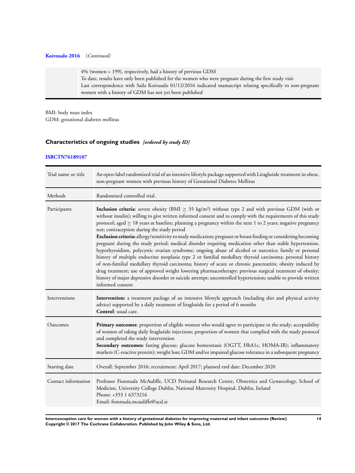# **[Koivusalo 2016](#page-11-0)** (*Continued)*

4% (women = 199), respectively, had a history of previous GDM To date, results have only been published for the women who were pregnant during the first study visit Last correspondence with Saila Koivusalo 01/12/2016 indicated manuscript relating specifically to non-pregnant women with a history of GDM has not yet been published

BMI: body mass index GDM: gestational diabetes mellitus

# **Characteristics of ongoing studies** *[ordered by study ID]*

# **[ISRCTN76189107](#page-11-0)**

| Trial name or title | An open-label randomized trial of an intensive lifestyle package supported with Liraglutide treatment in obese,<br>non-pregnant women with previous history of Gestational Diabetes Mellitus                                                                                                                                                                                                                                                                                                                                                                                                                                                                                                                                                                                                                                                                                                                                                                                                                                                                                                                                                                                                                                     |  |  |  |
|---------------------|----------------------------------------------------------------------------------------------------------------------------------------------------------------------------------------------------------------------------------------------------------------------------------------------------------------------------------------------------------------------------------------------------------------------------------------------------------------------------------------------------------------------------------------------------------------------------------------------------------------------------------------------------------------------------------------------------------------------------------------------------------------------------------------------------------------------------------------------------------------------------------------------------------------------------------------------------------------------------------------------------------------------------------------------------------------------------------------------------------------------------------------------------------------------------------------------------------------------------------|--|--|--|
| Methods             | Randomised controlled trial.                                                                                                                                                                                                                                                                                                                                                                                                                                                                                                                                                                                                                                                                                                                                                                                                                                                                                                                                                                                                                                                                                                                                                                                                     |  |  |  |
| Participants        | <b>Inclusion criteria:</b> severe obesity (BMI $\geq$ 35 kg/m <sup>2</sup> ) without type 2 and with previous GDM (with or<br>without insulin); willing to give written informed consent and to comply with the requirements of this study<br>protocol; aged $\geq$ 18 years at baseline; planning a pregnancy within the next 1 to 2 years; negative pregnancy<br>test; contraception during the study period<br>Exclusion criteria: allergy/sensitivity to study medication; pregnant or breast feeding or considering becoming<br>pregnant during the study period; medical disorder requiring medication other than stable hypertension,<br>hypothyroidism, polycystic ovarian syndrome; ongoing abuse of alcohol or narcotics; family or personal<br>history of multiple endocrine neoplasia type 2 or familial medullary thyroid carcinoma; personal history<br>of non-familial medullary thyroid carcinoma; history of acute or chronic pancreatitis; obesity induced by<br>drug treatment; use of approved weight lowering pharmacotherapy; previous surgical treatment of obesity;<br>history of major depressive disorder or suicide attempt; uncontrolled hypertension; unable to provide written<br>informed consent |  |  |  |
| Interventions       | Intervention: a treatment package of an intensive lifestyle approach (including diet and physical activity<br>advice) supported by a daily treatment of liraglutide for a period of 6 months<br>Control: usual care.                                                                                                                                                                                                                                                                                                                                                                                                                                                                                                                                                                                                                                                                                                                                                                                                                                                                                                                                                                                                             |  |  |  |
| Outcomes            | <b>Primary outcomes:</b> proportion of eligible women who would agree to participate in the study; acceptability<br>of women of taking daily liraglutide injections; proportion of women that complied with the study protocol<br>and completed the study intervention<br>Secondary outcomes: fasting glucose; glucose homeostasis (OGTT, HbA1c, HOMA-IR); inflammatory<br>markers (C-reactive protein); weight loss; GDM and/or impaired glucose tolerance in a subsequent pregnancy                                                                                                                                                                                                                                                                                                                                                                                                                                                                                                                                                                                                                                                                                                                                            |  |  |  |
| Starting date       | Overall: September 2016; recruitment: April 2017; planned end date: December 2020                                                                                                                                                                                                                                                                                                                                                                                                                                                                                                                                                                                                                                                                                                                                                                                                                                                                                                                                                                                                                                                                                                                                                |  |  |  |
| Contact information | Professor Fionnuala McAuliffe, UCD Perinatal Research Centre, Obstetrics and Gynaecology, School of<br>Medicine, University College Dublin, National Maternity Hospital, Dublin, Ireland<br>Phone: +353 1 6373216<br>Email: fionnuala.mcauliffe@ucd.ie                                                                                                                                                                                                                                                                                                                                                                                                                                                                                                                                                                                                                                                                                                                                                                                                                                                                                                                                                                           |  |  |  |

**Interconception care for women with a history of gestational diabetes for improving maternal and infant outcomes (Review) 14 Copyright © 2017 The Cochrane Collaboration. Published by John Wiley & Sons, Ltd.**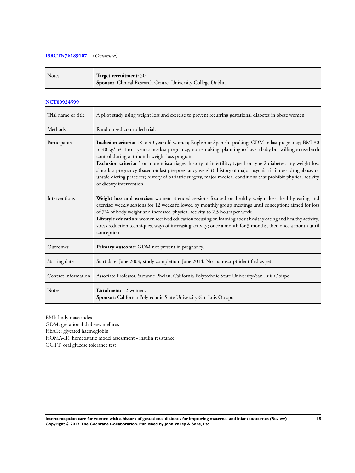# **[ISRCTN76189107](#page-11-0)** (*Continued)*

| <b>Notes</b> | Target recruitment: 50.                                       |
|--------------|---------------------------------------------------------------|
|              | Sponsor: Clinical Research Centre, University College Dublin. |

| <b>NCT00924599</b>  |                                                                                                                                                                                                                                                                                                                                                                                                                                                                                                                                                                                                                                                                           |  |  |  |
|---------------------|---------------------------------------------------------------------------------------------------------------------------------------------------------------------------------------------------------------------------------------------------------------------------------------------------------------------------------------------------------------------------------------------------------------------------------------------------------------------------------------------------------------------------------------------------------------------------------------------------------------------------------------------------------------------------|--|--|--|
| Trial name or title | A pilot study using weight loss and exercise to prevent recurring gestational diabetes in obese women                                                                                                                                                                                                                                                                                                                                                                                                                                                                                                                                                                     |  |  |  |
| Methods             | Randomised controlled trial.                                                                                                                                                                                                                                                                                                                                                                                                                                                                                                                                                                                                                                              |  |  |  |
| Participants        | Inclusion criteria: 18 to 40 year old women; English or Spanish speaking; GDM in last pregnancy; BMI 30<br>to 40 kg/m <sup>2</sup> ; 1 to 5 years since last pregnancy; non-smoking; planning to have a baby but willing to use birth<br>control during a 3-month weight loss program<br>Exclusion criteria: 3 or more miscarriages; history of infertility; type 1 or type 2 diabetes; any weight loss<br>since last pregnancy (based on last pre-pregnancy weight); history of major psychiatric illness, drug abuse, or<br>unsafe dieting practices; history of bariatric surgery, major medical conditions that prohibit physical activity<br>or dietary intervention |  |  |  |
| Interventions       | Weight loss and exercise: women attended sessions focused on healthy weight loss, healthy eating and<br>exercise; weekly sessions for 12 weeks followed by monthly group meetings until conception; aimed for loss<br>of 7% of body weight and increased physical activity to 2.5 hours per week<br>Lifestyle education: women received education focusing on learning about healthy eating and healthy activity,<br>stress reduction techniques, ways of increasing activity; once a month for 3 months, then once a month until<br>conception                                                                                                                           |  |  |  |
| Outcomes            | Primary outcome: GDM not present in pregnancy.                                                                                                                                                                                                                                                                                                                                                                                                                                                                                                                                                                                                                            |  |  |  |
| Starting date       | Start date: June 2009; study completion: June 2014. No manuscript identified as yet                                                                                                                                                                                                                                                                                                                                                                                                                                                                                                                                                                                       |  |  |  |
| Contact information | Associate Professor, Suzanne Phelan, California Polytechnic State University-San Luis Obispo                                                                                                                                                                                                                                                                                                                                                                                                                                                                                                                                                                              |  |  |  |
| Notes               | <b>Enrolment:</b> 12 women.<br>Sponsor: California Polytechnic State University-San Luis Obispo.                                                                                                                                                                                                                                                                                                                                                                                                                                                                                                                                                                          |  |  |  |

BMI: body mass index GDM: gestational diabetes mellitus HbA1c: glycated haemoglobin HOMA-IR: homeostatic model assessment - insulin resistance OGTT: oral glucose tolerance test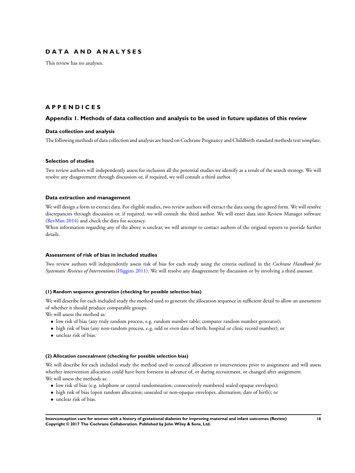# <span id="page-18-0"></span>**D A T A A N D A N A L Y S E S**

This review has no analyses.

# **A P P E N D I C E S**

#### **Appendix 1. Methods of data collection and analysis to be used in future updates of this review**

#### **Data collection and analysis**

The following methods of data collection and analysis are based on Cochrane Pregnancy and Childbirth standard methods text template.

#### **Selection of studies**

Two review authors will independently assess for inclusion all the potential studies we identify as a result of the search strategy. We will resolve any disagreement through discussion or, if required, we will consult a third author.

#### **Data extraction and management**

We will design a form to extract data. For eligible studies, two review authors will extract the data using the agreed form. We will resolve discrepancies through discussion or, if required, we will consult the third author. We will enter data into Review Manager software [\(RevMan 2014\)](#page-11-0) and check the data for accuracy.

When information regarding any of the above is unclear, we will attempt to contact authors of the original reports to provide further details.

#### **Assessment of risk of bias in included studies**

Two review authors will independently assess risk of bias for each study using the criteria outlined in the *Cochrane Handbook for Systematic Reviews of Interventions* [\(Higgins 2011\)](#page-11-0). We will resolve any disagreement by discussion or by involving a third assessor.

#### **(1) Random sequence generation (checking for possible selection bias)**

We will describe for each included study the method used to generate the allocation sequence in sufficient detail to allow an assessment of whether it should produce comparable groups.

We will assess the method as:

- low risk of bias (any truly random process, e.g. random number table; computer random number generator);
- high risk of bias (any non-random process, e.g. odd or even date of birth; hospital or clinic record number); or
- unclear risk of bias.

#### **(2) Allocation concealment (checking for possible selection bias)**

We will describe for each included study the method used to conceal allocation to interventions prior to assignment and will assess whether intervention allocation could have been foreseen in advance of, or during recruitment, or changed after assignment. We will assess the methods as:

- low risk of bias (e.g. telephone or central randomisation; consecutively numbered sealed opaque envelopes);
- high risk of bias (open random allocation; unsealed or non-opaque envelopes, alternation; date of birth); or
- unclear risk of bias.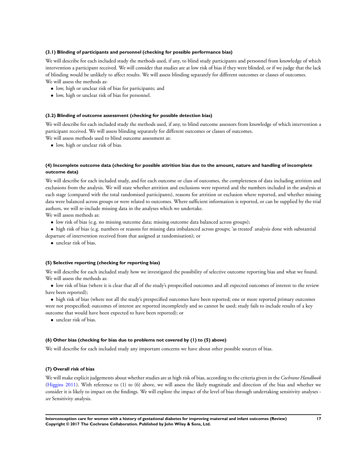#### **(3.1) Blinding of participants and personnel (checking for possible performance bias)**

We will describe for each included study the methods used, if any, to blind study participants and personnel from knowledge of which intervention a participant received. We will consider that studies are at low risk of bias if they were blinded, or if we judge that the lack of blinding would be unlikely to affect results. We will assess blinding separately for different outcomes or classes of outcomes. We will assess the methods as:

- low, high or unclear risk of bias for participants; and
- low, high or unclear risk of bias for personnel.

#### **(3.2) Blinding of outcome assessment (checking for possible detection bias)**

We will describe for each included study the methods used, if any, to blind outcome assessors from knowledge of which intervention a participant received. We will assess blinding separately for different outcomes or classes of outcomes.

- We will assess methods used to blind outcome assessment as:
	- low, high or unclear risk of bias.

#### **(4) Incomplete outcome data (checking for possible attrition bias due to the amount, nature and handling of incomplete outcome data)**

We will describe for each included study, and for each outcome or class of outcomes, the completeness of data including attrition and exclusions from the analysis. We will state whether attrition and exclusions were reported and the numbers included in the analysis at each stage (compared with the total randomised participants), reasons for attrition or exclusion where reported, and whether missing data were balanced across groups or were related to outcomes. Where sufficient information is reported, or can be supplied by the trial authors, we will re-include missing data in the analyses which we undertake.

We will assess methods as:

- low risk of bias (e.g. no missing outcome data; missing outcome data balanced across groups);
- high risk of bias (e.g. numbers or reasons for missing data imbalanced across groups; 'as treated' analysis done with substantial
- departure of intervention received from that assigned at randomisation); or
	- unclear risk of bias.

#### **(5) Selective reporting (checking for reporting bias)**

We will describe for each included study how we investigated the possibility of selective outcome reporting bias and what we found. We will assess the methods as:

• low risk of bias (where it is clear that all of the study's prespecified outcomes and all expected outcomes of interest to the review have been reported);

• high risk of bias (where not all the study's prespecified outcomes have been reported; one or more reported primary outcomes were not prespecified; outcomes of interest are reported incompletely and so cannot be used; study fails to include results of a key outcome that would have been expected to have been reported); or

• unclear risk of bias.

#### **(6) Other bias (checking for bias due to problems not covered by (1) to (5) above)**

We will describe for each included study any important concerns we have about other possible sources of bias.

#### **(7) Overall risk of bias**

We will make explicit judgements about whether studies are at high risk of bias, according to the criteria given in the *Cochrane Handbook* [\(Higgins 2011\)](#page-11-0). With reference to (1) to (6) above, we will assess the likely magnitude and direction of the bias and whether we consider it is likely to impact on the findings. We will explore the impact of the level of bias through undertaking sensitivity analyses *see* Sensitivity analysis.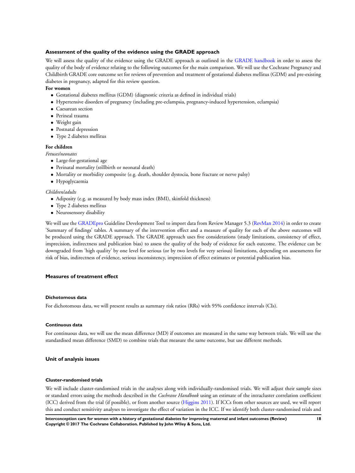#### **Assessment of the quality of the evidence using the GRADE approach**

We will assess the quality of the evidence using the [GRADE](def http://gdt.guidelinedevelopment.orgpenalty @M /hskip z@skip central_prodpenalty @M /hskip z@skip _designpenalty @M /hskip z@skip clientpenalty @M /hskip z@skip handbookpenalty @M /hskip z@skip handbook.html) approach as outlined in the GRADE [handbook](def http:/penalty @M /hskip z@skip gdt.penalty z@ guidelinedevelopment.penalty z@ orgpenalty @M /hskip z@skip central_prodpenalty @M /hskip z@skip _designpenalty @M /hskip z@skip clientpenalty @M /hskip z@skip handbookpenalty @M /hskip z@skip handbook.penalty z@ html) in order to assess the quality of the body of evidence relating to the following outcomes for the main comparison. We will use the Cochrane Pregnancy and Childbirth GRADE core outcome set for reviews of prevention and treatment of gestational diabetes mellitus (GDM) and pre-existing diabetes in pregnancy, adapted for this review question.

#### **For women**

- Gestational diabetes mellitus (GDM) (diagnostic criteria as defined in individual trials)
- Hypertensive disorders of pregnancy (including pre-eclampsia, pregnancy-induced hypertension, eclampsia)
- Caesarean section
- Perineal trauma
- Weight gain
- Postnatal depression
- Type 2 diabetes mellitus

# **For children**

*Fetuses/neonates*

- Large-for-gestational age
- Perinatal mortality (stillbirth or neonatal death)
- Mortality or morbidity composite (e.g. death, shoulder dystocia, bone fracture or nerve palsy)
- Hypoglycaemia

#### *Children/adults*

- Adiposity (e.g. as measured by body mass index (BMI), skinfold thickness)
- Type 2 diabetes mellitus
- Neurosensory disability

We will use the [GRADEpro](def http:/penalty @M /hskip z@skip www.penalty z@ guidelinedevelopment.penalty z@ orgpenalty @M /hskip z@skip ) Guideline Development Tool to import data from Review Manager 5.3 [\(RevMan 2014\)](#page-11-0) in order to create 'Summary of findings' tables. A summary of the intervention effect and a measure of quality for each of the above outcomes will be produced using the GRADE approach. The GRADE approach uses five considerations (study limitations, consistency of effect, imprecision, indirectness and publication bias) to assess the quality of the body of evidence for each outcome. The evidence can be downgraded from 'high quality' by one level for serious (or by two levels for very serious) limitations, depending on assessments for risk of bias, indirectness of evidence, serious inconsistency, imprecision of effect estimates or potential publication bias.

### **Measures of treatment effect**

#### **Dichotomous data**

For dichotomous data, we will present results as summary risk ratios (RRs) with 95% confidence intervals (CIs).

#### **Continuous data**

For continuous data, we will use the mean difference (MD) if outcomes are measured in the same way between trials. We will use the standardised mean difference (SMD) to combine trials that measure the same outcome, but use different methods.

#### **Unit of analysis issues**

#### **Cluster-randomised trials**

We will include cluster-randomised trials in the analyses along with individually-randomised trials. We will adjust their sample sizes or standard errors using the methods described in the *Cochrane Handbook* using an estimate of the intracluster correlation coefficient (ICC) derived from the trial (if possible), or from another source [\(Higgins 2011](#page-11-0)). If ICCs from other sources are used, we will report this and conduct sensitivity analyses to investigate the effect of variation in the ICC. If we identify both cluster-randomised trials and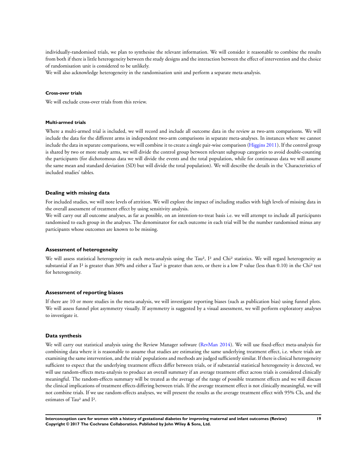individually-randomised trials, we plan to synthesise the relevant information. We will consider it reasonable to combine the results from both if there is little heterogeneity between the study designs and the interaction between the effect of intervention and the choice of randomisation unit is considered to be unlikely.

We will also acknowledge heterogeneity in the randomisation unit and perform a separate meta-analysis.

#### **Cross-over trials**

We will exclude cross-over trials from this review.

#### **Multi-armed trials**

Where a multi-armed trial is included, we will record and include all outcome data in the review as two-arm comparisons. We will include the data for the different arms in independent two-arm comparisons in separate meta-analyses. In instances where we cannot include the data in separate comparisons, we will combine it to create a single pair-wise comparison [\(Higgins 2011](#page-11-0)). If the control group is shared by two or more study arms, we will divide the control group between relevant subgroup categories to avoid double-counting the participants (for dichotomous data we will divide the events and the total population, while for continuous data we will assume the same mean and standard deviation (SD) but will divide the total population). We will describe the details in the 'Characteristics of included studies' tables.

#### **Dealing with missing data**

For included studies, we will note levels of attrition. We will explore the impact of including studies with high levels of missing data in the overall assessment of treatment effect by using sensitivity analysis.

We will carry out all outcome analyses, as far as possible, on an intention-to-treat basis i.e. we will attempt to include all participants randomised to each group in the analyses. The denominator for each outcome in each trial will be the number randomised minus any participants whose outcomes are known to be missing.

#### **Assessment of heterogeneity**

We will assess statistical heterogeneity in each meta-analysis using the Tau<sup>2</sup>, I<sup>2</sup> and Chi<sup>2</sup> statistics. We will regard heterogeneity as substantial if an I² is greater than 30% and either a Tau² is greater than zero, or there is a low P value (less than 0.10) in the Chi² test for heterogeneity.

#### **Assessment of reporting biases**

If there are 10 or more studies in the meta-analysis, we will investigate reporting biases (such as publication bias) using funnel plots. We will assess funnel plot asymmetry visually. If asymmetry is suggested by a visual assessment, we will perform exploratory analyses to investigate it.

#### **Data synthesis**

We will carry out statistical analysis using the Review Manager software ([RevMan 2014](#page-11-0)). We will use fixed-effect meta-analysis for combining data where it is reasonable to assume that studies are estimating the same underlying treatment effect, i.e. where trials are examining the same intervention, and the trials' populations and methods are judged sufficiently similar. If there is clinical heterogeneity sufficient to expect that the underlying treatment effects differ between trials, or if substantial statistical heterogeneity is detected, we will use random-effects meta-analysis to produce an overall summary if an average treatment effect across trials is considered clinically meaningful. The random-effects summary will be treated as the average of the range of possible treatment effects and we will discuss the clinical implications of treatment effects differing between trials. If the average treatment effect is not clinically meaningful, we will not combine trials. If we use random-effects analyses, we will present the results as the average treatment effect with 95% CIs, and the estimates of Tau² and I².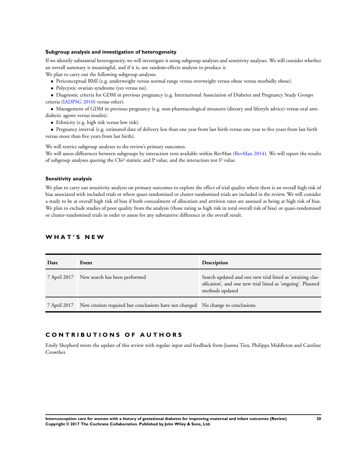#### **Subgroup analysis and investigation of heterogeneity**

If we identify substantial heterogeneity, we will investigate it using subgroup analyses and sensitivity analyses. We will consider whether an overall summary is meaningful, and if it is, use random-effects analysis to produce it.

We plan to carry out the following subgroup analyses.

- Periconceptual BMI (e.g. underweight versus normal range versus overweight versus obese versus morbidly obese).
- Polycystic ovarian syndrome (yes versus no).
- Diagnostic criteria for GDM in previous pregnancy (e.g. International Association of Diabetes and Pregnancy Study Groups criteria [\(IADPSG 2010](#page-11-0)) versus other).

• Management of GDM in previous pregnancy (e.g. non-pharmacological measures (dietary and lifestyle advice) versus oral antidiabetic agents versus insulin).

- Ethnicity (e.g. high risk versus low risk).
- Pregnancy interval (e.g. estimated date of delivery less than one year from last birth versus one year to five years from last birth versus more than five years from last birth).

We will restrict subgroup analyses to the review's primary outcomes.

We will assess differences between subgroups by interaction tests available within RevMan [\(RevMan 2014](#page-11-0)). We will report the results of subgroup analyses quoting the Chi² statistic and P value, and the interaction test I² value.

#### **Sensitivity analysis**

We plan to carry out sensitivity analysis on primary outcomes to explore the effect of trial quality where there is an overall high risk of bias associated with included trials or where quasi-randomised or cluster-randomised trials are included in the review. We will consider a study to be at overall high risk of bias if both concealment of allocation and attrition rates are assessed as being at high risk of bias. We plan to exclude studies of poor quality from the analysis (those rating as high risk in total overall risk of bias) or quasi-randomised or cluster-randomised trials in order to assess for any substantive difference in the overall result.

# **W H A T ' S N E W**

| Date | Event                                                                                         | Description                                                                                                                                  |
|------|-----------------------------------------------------------------------------------------------|----------------------------------------------------------------------------------------------------------------------------------------------|
|      | 7 April 2017 New search has been performed                                                    | Search updated and one new trial listed as 'awaiting clas-<br>sification', and one new trial listed as 'ongoing'. Planned<br>methods updated |
|      | 7 April 2017 New citation required but conclusions have not changed No change to conclusions. |                                                                                                                                              |

# **C O N T R I B U T I O N S O F A U T H O R S**

Emily Shepherd wrote the update of this review with regular input and feedback from Joanna Tieu, Philippa Middleton and Caroline Crowther.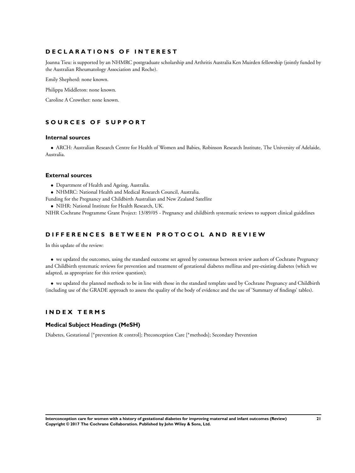# **D E C L A R A T I O N S O F I N T E R E S T**

Joanna Tieu: is supported by an NHMRC postgraduate scholarship and Arthritis Australia Ken Muirden fellowship (jointly funded by the Australian Rheumatology Association and Roche).

Emily Shepherd: none known.

Philippa Middleton: none known.

Caroline A Crowther: none known.

# **S O U R C E S O F S U P P O R T**

## **Internal sources**

• ARCH: Australian Research Centre for Health of Women and Babies, Robinson Research Institute, The University of Adelaide, Australia.

#### **External sources**

- Department of Health and Ageing, Australia.
- NHMRC: National Health and Medical Research Council, Australia.

Funding for the Pregnancy and Childbirth Australian and New Zealand Satellite

• NIHR: National Institute for Health Research, UK.

NIHR Cochrane Programme Grant Project: 13/89/05 - Pregnancy and childbirth systematic reviews to support clinical guidelines

# **DIFFERENCES BETWEEN PROTOCOL AND REVIEW**

In this update of the review:

• we updated the outcomes, using the standard outcome set agreed by consensus between review authors of Cochrane Pregnancy and Childbirth systematic reviews for prevention and treatment of gestational diabetes mellitus and pre-existing diabetes (which we adapted, as appropriate for this review question);

• we updated the planned methods to be in line with those in the standard template used by Cochrane Pregnancy and Childbirth (including use of the GRADE approach to assess the quality of the body of evidence and the use of 'Summary of findings' tables).

# **I N D E X T E R M S**

#### **Medical Subject Headings (MeSH)**

Diabetes, Gestational [∗prevention & control]; Preconception Care [∗methods]; Secondary Prevention